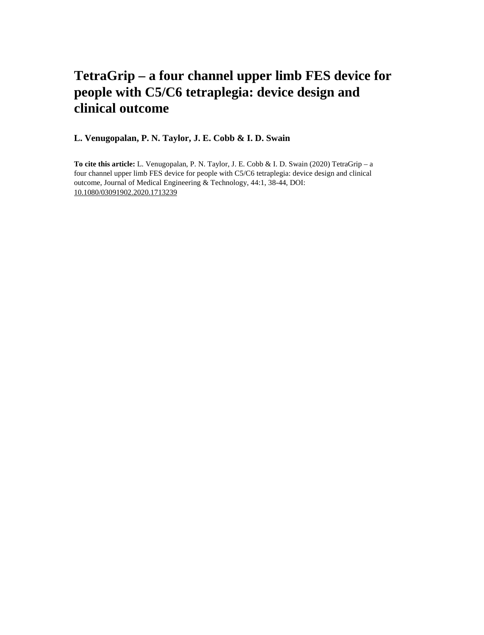# **TetraGrip – a four channel upper limb FES device for people with C5/C6 tetraplegia: device design and clinical outcome**

**L. Venugopalan, P. N. Taylor, J. E. Cobb & I. D. Swain**

**To cite this article:** L. Venugopalan, P. N. Taylor, J. E. Cobb & I. D. Swain (2020) TetraGrip – a four channel upper limb FES device for people with C5/C6 tetraplegia: device design and clinical outcome, Journal of Medical Engineering & Technology, 44:1, 38-44, DOI: [10.1080/03091902.2020.1713239](https://www.tandfonline.com/action/showCitFormats?doi=10.1080/03091902.2020.1713239)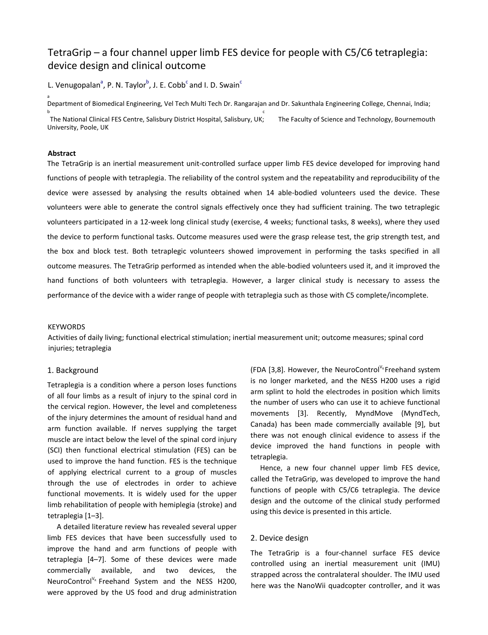# TetraGrip – a four channel upper limb FES device for people with C5/C6 tetraplegia: device design and clinical outcome

L. Venugopalan<sup>a</sup>, P. N. Taylor<sup>b</sup>, J. E. Cobb<sup>c</sup> and I. D. Swain<sup>c</sup>

Department of Biomedical Engineering, Vel Tech Multi Tech Dr. Rangarajan and Dr. Sakunthala Engineering College, Chennai, India; b contract the contract of the contract of the contract of the contract of the contract of the contract of the contract of the contract of the contract of the contract of the contract of the contract of the contract of the The National Clinical FES Centre, Salisbury District Hospital, Salisbury, UK; The Faculty of Science and Technology, Bournemouth University, Poole, UK

#### **Abstract**

a

The TetraGrip is an inertial measurement unit-controlled surface upper limb FES device developed for improving hand functions of people with tetraplegia. The reliability of the control system and the repeatability and reproducibility of the device were assessed by analysing the results obtained when 14 able-bodied volunteers used the device. These volunteers were able to generate the control signals effectively once they had sufficient training. The two tetraplegic volunteers participated in a 12-week long clinical study (exercise, 4 weeks; functional tasks, 8 weeks), where they used the device to perform functional tasks. Outcome measures used were the grasp release test, the grip strength test, and the box and block test. Both tetraplegic volunteers showed improvement in performing the tasks specified in all outcome measures. The TetraGrip performed as intended when the able-bodied volunteers used it, and it improved the hand functions of both volunteers with tetraplegia. However, a larger clinical study is necessary to assess the performance of the device with a wider range of people with tetraplegia such as those with C5 complete/incomplete.

#### **KEYWORDS**

Activities of daily living; functional electrical stimulation; inertial measurement unit; outcome measures; spinal cord injuries; tetraplegia

#### 1. Background

Tetraplegia is a condition where a person loses functions of all four limbs as a result of injury to the spinal cord in the cervical region. However, the level and completeness of the injury determines the amount of residual hand and arm function available. If nerves supplying the target muscle are intact below the level of the spinal cord injury (SCI) then functional electrical stimulation (FES) can be used to improve the hand function. FES is the technique of applying electrical current to a group of muscles through the use of electrodes in order to achieve functional movements. It is widely used for the upper limb rehabilitation of people with hemiplegia (stroke) and tetraplegia [1–3].

A detailed literature review has revealed several upper limb FES devices that have been successfully used to improve the hand and arm functions of people with tetraplegia [4–7]. Some of these devices were made commercially available, and two devices, the NeuroControl $V_R$  Freehand System and the NESS H200, were approved by the US food and drug administration

(FDA [3,8]. However, the NeuroControl<sup>V<sub>R</sub></sup> Freehand system is no longer marketed, and the NESS H200 uses a rigid arm splint to hold the electrodes in position which limits the number of users who can use it to achieve functional movements [3]. Recently, MyndMove (MyndTech, Canada) has been made commercially available [9], but there was not enough clinical evidence to assess if the device improved the hand functions in people with tetraplegia.

Hence, a new four channel upper limb FES device, called the TetraGrip, was developed to improve the hand functions of people with C5/C6 tetraplegia. The device design and the outcome of the clinical study performed using this device is presented in this article.

#### 2. Device design

The TetraGrip is a four-channel surface FES device controlled using an inertial measurement unit (IMU) strapped across the contralateral shoulder. The IMU used here was the NanoWii quadcopter controller, and it was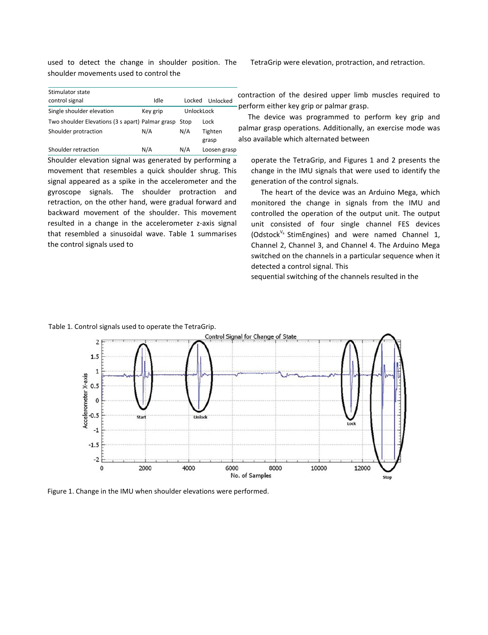used to detect the change in shoulder position. The shoulder movements used to control the

| Stimulator state                                      |          |            |              |  |  |
|-------------------------------------------------------|----------|------------|--------------|--|--|
| control signal                                        | Idle     | Locked     | Unlocked     |  |  |
| Single shoulder elevation                             | Key grip | UnlockLock |              |  |  |
| Two shoulder Elevations (3 s apart) Palmar grasp Stop |          |            | Lock         |  |  |
| Shoulder protraction                                  | N/A      | N/A        | Tighten      |  |  |
|                                                       |          |            | grasp        |  |  |
| Shoulder retraction                                   | N/A      | N/A        | Loosen grasp |  |  |

Shoulder elevation signal was generated by performing a movement that resembles a quick shoulder shrug. This signal appeared as a spike in the accelerometer and the gyroscope signals. The shoulder protraction and retraction, on the other hand, were gradual forward and backward movement of the shoulder. This movement resulted in a change in the accelerometer z-axis signal that resembled a sinusoidal wave. Table 1 summarises the control signals used to

TetraGrip were elevation, protraction, and retraction.

contraction of the desired upper limb muscles required to perform either key grip or palmar grasp.

The device was programmed to perform key grip and palmar grasp operations. Additionally, an exercise mode was also available which alternated between

operate the TetraGrip, and Figures 1 and 2 presents the change in the IMU signals that were used to identify the generation of the control signals.

The heart of the device was an Arduino Mega, which monitored the change in signals from the IMU and controlled the operation of the output unit. The output unit consisted of four single channel FES devices (Odstock<sup>V<sub>R</sub></sub> StimEngines) and were named Channel 1,</sup> Channel 2, Channel 3, and Channel 4. The Arduino Mega switched on the channels in a particular sequence when it detected a control signal. This

sequential switching of the channels resulted in the

# Table 1. Control signals used to operate the TetraGrip.



Figure 1. Change in the IMU when shoulder elevations were performed.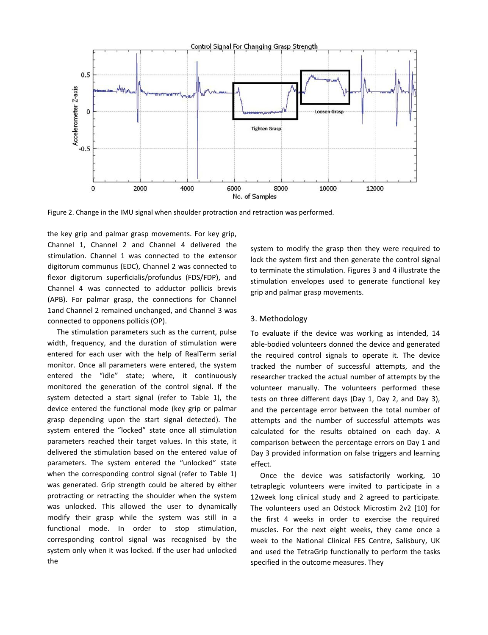

Figure 2. Change in the IMU signal when shoulder protraction and retraction was performed.

the key grip and palmar grasp movements. For key grip, Channel 1, Channel 2 and Channel 4 delivered the stimulation. Channel 1 was connected to the extensor digitorum communus (EDC), Channel 2 was connected to flexor digitorum superficialis/profundus (FDS/FDP), and Channel 4 was connected to adductor pollicis brevis (APB). For palmar grasp, the connections for Channel 1and Channel 2 remained unchanged, and Channel 3 was connected to opponens pollicis (OP).

The stimulation parameters such as the current, pulse width, frequency, and the duration of stimulation were entered for each user with the help of RealTerm serial monitor. Once all parameters were entered, the system entered the "idle" state; where, it continuously monitored the generation of the control signal. If the system detected a start signal (refer to Table 1), the device entered the functional mode (key grip or palmar grasp depending upon the start signal detected). The system entered the "locked" state once all stimulation parameters reached their target values. In this state, it delivered the stimulation based on the entered value of parameters. The system entered the "unlocked" state when the corresponding control signal (refer to Table 1) was generated. Grip strength could be altered by either protracting or retracting the shoulder when the system was unlocked. This allowed the user to dynamically modify their grasp while the system was still in a functional mode. In order to stop stimulation, corresponding control signal was recognised by the system only when it was locked. If the user had unlocked the

system to modify the grasp then they were required to lock the system first and then generate the control signal to terminate the stimulation. Figures 3 and 4 illustrate the stimulation envelopes used to generate functional key grip and palmar grasp movements.

#### 3. Methodology

To evaluate if the device was working as intended, 14 able-bodied volunteers donned the device and generated the required control signals to operate it. The device tracked the number of successful attempts, and the researcher tracked the actual number of attempts by the volunteer manually. The volunteers performed these tests on three different days (Day 1, Day 2, and Day 3), and the percentage error between the total number of attempts and the number of successful attempts was calculated for the results obtained on each day. A comparison between the percentage errors on Day 1 and Day 3 provided information on false triggers and learning effect.

Once the device was satisfactorily working, 10 tetraplegic volunteers were invited to participate in a 12week long clinical study and 2 agreed to participate. The volunteers used an Odstock Microstim 2v2 [10] for the first 4 weeks in order to exercise the required muscles. For the next eight weeks, they came once a week to the National Clinical FES Centre, Salisbury, UK and used the TetraGrip functionally to perform the tasks specified in the outcome measures. They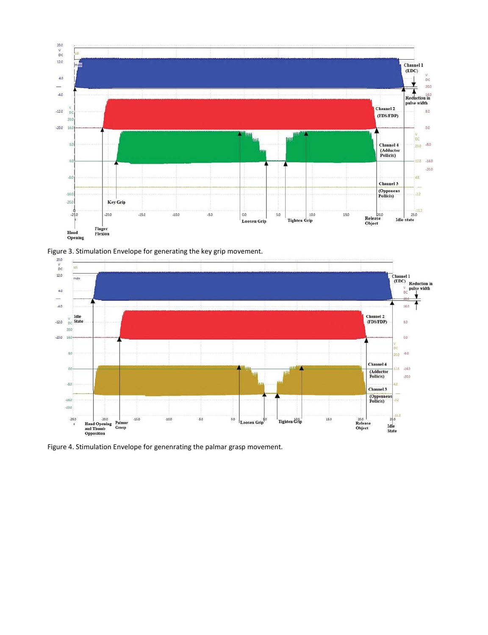





Figure 4. Stimulation Envelope for genenrating the palmar grasp movement.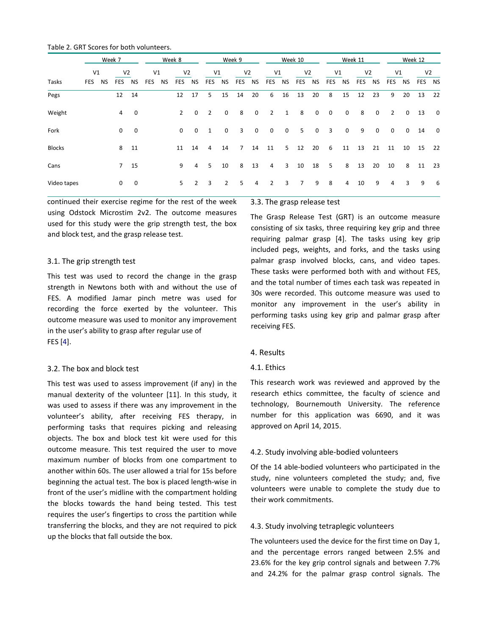|               | Week 7         |           |                |                | Week 8     |           |                | Week 9         |                |                | Week 10        |             |                | Week 11        |                |             | Week 12                 |             |                |             |                |             |                |                         |
|---------------|----------------|-----------|----------------|----------------|------------|-----------|----------------|----------------|----------------|----------------|----------------|-------------|----------------|----------------|----------------|-------------|-------------------------|-------------|----------------|-------------|----------------|-------------|----------------|-------------------------|
|               | V <sub>1</sub> |           | V <sub>2</sub> |                | V1         |           | V <sub>2</sub> |                | V1             |                | V <sub>2</sub> |             | V1             |                | V <sub>2</sub> |             | V <sub>1</sub>          |             | V <sub>2</sub> |             | V1             |             | V <sub>2</sub> |                         |
| Tasks         | <b>FES</b>     | <b>NS</b> | <b>FES</b>     | <b>NS</b>      | <b>FES</b> | <b>NS</b> | <b>FES</b>     | <b>NS</b>      | FES            | <b>NS</b>      | <b>FES</b>     | <b>NS</b>   | <b>FES</b>     | NS             | <b>FES</b>     | <b>NS</b>   | <b>FES</b>              | NS          | <b>FES</b>     | NS          | <b>FES</b>     | <b>NS</b>   | FES NS         |                         |
| Pegs          |                |           | 12             | 14             |            |           | 12             | 17             | 5              | 15             | 14             | 20          | 6              | 16             | 13             | 20          | 8                       | 15          | 12             | 23          | 9              | 20          | 13             | 22                      |
| Weight        |                |           | $\overline{4}$ | $\mathbf 0$    |            |           | $\overline{2}$ | $\mathbf 0$    | $\overline{2}$ | $\mathbf 0$    | 8              | $\mathbf 0$ | $\overline{2}$ | $\mathbf{1}$   | 8              | $\mathbf 0$ | $\overline{\mathbf{0}}$ | $\mathbf 0$ | 8              | 0           | $\overline{2}$ | 0           | 13             | $\overline{\mathbf{0}}$ |
| Fork          |                |           | $\mathbf 0$    | $\overline{0}$ |            |           | $\mathbf 0$    | $\mathbf 0$    | 1              | $\mathbf 0$    | 3              | $\mathbf 0$ | $\mathbf 0$    | $\mathbf 0$    | 5              | $\mathbf 0$ | 3                       | $\mathbf 0$ | 9              | $\mathbf 0$ | $\mathbf 0$    | $\mathbf 0$ | 14             | $\overline{\mathbf{0}}$ |
| <b>Blocks</b> |                |           | 8              | 11             |            |           | 11             | 14             | 4              | 14             | $\overline{7}$ | 14          | 11             | 5 <sup>1</sup> | 12             | 20          | 6                       | 11          | 13             | 21          | 11             | 10          | 15             | 22                      |
| Cans          |                |           | 7 <sup>7</sup> | 15             |            |           | 9              | 4              | 5              | 10             | 8              | 13          | $\overline{4}$ | 3              | 10             | 18          | 5                       | 8           | 13             | 20          | 10             | 8           | 11             | - 23                    |
| Video tapes   |                |           | 0              | $\overline{0}$ |            |           | 5              | $\overline{2}$ | 3              | $\overline{2}$ | 5              | 4           | $\overline{2}$ | 3              | $\overline{7}$ | 9           | 8                       | 4           | 10             | 9           | 4              | 3           | 9              | 6                       |

Table 2. GRT Scores for both volunteers.

continued their exercise regime for the rest of the week using Odstock Microstim 2v2. The outcome measures used for this study were the grip strength test, the box and block test, and the grasp release test.

#### 3.1. The grip strength test

This test was used to record the change in the grasp strength in Newtons both with and without the use of FES. A modified Jamar pinch metre was used for recording the force exerted by the volunteer. This outcome measure was used to monitor any improvement in the user's ability to grasp after regular use of FES [4].

## 3.2. The box and block test

This test was used to assess improvement (if any) in the manual dexterity of the volunteer [11]. In this study, it was used to assess if there was any improvement in the volunteer's ability, after receiving FES therapy, in performing tasks that requires picking and releasing objects. The box and block test kit were used for this outcome measure. This test required the user to move maximum number of blocks from one compartment to another within 60s. The user allowed a trial for 15s before beginning the actual test. The box is placed length-wise in front of the user's midline with the compartment holding the blocks towards the hand being tested. This test requires the user's fingertips to cross the partition while transferring the blocks, and they are not required to pick up the blocks that fall outside the box.

### 3.3. The grasp release test

The Grasp Release Test (GRT) is an outcome measure consisting of six tasks, three requiring key grip and three requiring palmar grasp [4]. The tasks using key grip included pegs, weights, and forks, and the tasks using palmar grasp involved blocks, cans, and video tapes. These tasks were performed both with and without FES, and the total number of times each task was repeated in 30s were recorded. This outcome measure was used to monitor any improvement in the user's ability in performing tasks using key grip and palmar grasp after receiving FES.

#### 4. Results

#### 4.1. Ethics

This research work was reviewed and approved by the research ethics committee, the faculty of science and technology, Bournemouth University. The reference number for this application was 6690, and it was approved on April 14, 2015.

#### 4.2. Study involving able-bodied volunteers

Of the 14 able-bodied volunteers who participated in the study, nine volunteers completed the study; and, five volunteers were unable to complete the study due to their work commitments.

#### 4.3. Study involving tetraplegic volunteers

The volunteers used the device for the first time on Day 1, and the percentage errors ranged between 2.5% and 23.6% for the key grip control signals and between 7.7% and 24.2% for the palmar grasp control signals. The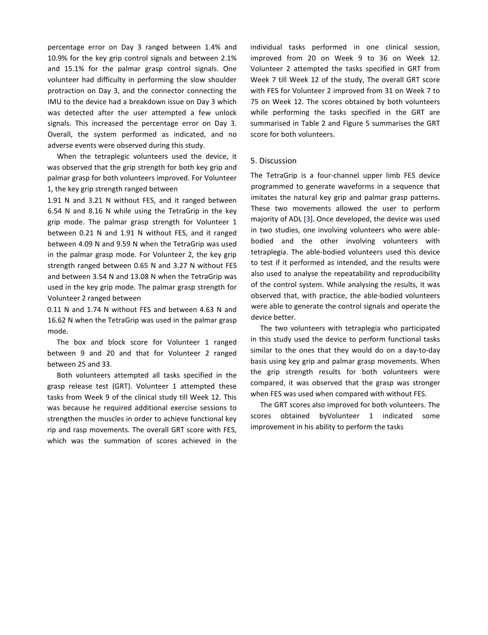percentage error on Day 3 ranged between 1.4% and 10.9% for the key grip control signals and between 2.1% and 15.1% for the palmar grasp control signals. One volunteer had difficulty in performing the slow shoulder protraction on Day 3, and the connector connecting the IMU to the device had a breakdown issue on Day 3 which was detected after the user attempted a few unlock signals. This increased the percentage error on Day 3. Overall, the system performed as indicated, and no adverse events were observed during this study.

When the tetraplegic volunteers used the device, it was observed that the grip strength for both key grip and palmar grasp for both volunteers improved. For Volunteer 1, the key grip strength ranged between

1.91 N and 3.21 N without FES, and it ranged between 6.54 N and 8.16 N while using the TetraGrip in the key grip mode. The palmar grasp strength for Volunteer 1 between 0.21 N and 1.91 N without FES, and it ranged between 4.09 N and 9.59 N when the TetraGrip was used in the palmar grasp mode. For Volunteer 2, the key grip strength ranged between 0.65 N and 3.27 N without FES and between 3.54 N and 13.08 N when the TetraGrip was used in the key grip mode. The palmar grasp strength for Volunteer 2 ranged between

0.11 N and 1.74 N without FES and between 4.63 N and 16.62 N when the TetraGrip was used in the palmar grasp mode.

The box and block score for Volunteer 1 ranged between 9 and 20 and that for Volunteer 2 ranged between 25 and 33.

Both volunteers attempted all tasks specified in the grasp release test (GRT). Volunteer 1 attempted these tasks from Week 9 of the clinical study till Week 12. This was because he required additional exercise sessions to strengthen the muscles in order to achieve functional key rip and rasp movements. The overall GRT score with FES, which was the summation of scores achieved in the

individual tasks performed in one clinical session, improved from 20 on Week 9 to 36 on Week 12. Volunteer 2 attempted the tasks specified in GRT from Week 7 till Week 12 of the study, The overall GRT score with FES for Volunteer 2 improved from 31 on Week 7 to 75 on Week 12. The scores obtained by both volunteers while performing the tasks specified in the GRT are summarised in Table 2 and Figure 5 summarises the GRT score for both volunteers.

## 5. Discussion

The TetraGrip is a four-channel upper limb FES device programmed to generate waveforms in a sequence that imitates the natural key grip and palmar grasp patterns. These two movements allowed the user to perform majority of ADL [3]. Once developed, the device was used in two studies, one involving volunteers who were ablebodied and the other involving volunteers with tetraplegia. The able-bodied volunteers used this device to test if it performed as intended, and the results were also used to analyse the repeatability and reproducibility of the control system. While analysing the results, it was observed that, with practice, the able-bodied volunteers were able to generate the control signals and operate the device better.

The two volunteers with tetraplegia who participated in this study used the device to perform functional tasks similar to the ones that they would do on a day-to-day basis using key grip and palmar grasp movements. When the grip strength results for both volunteers were compared, it was observed that the grasp was stronger when FES was used when compared with without FES.

The GRT scores also improved for both volunteers. The scores obtained byVolunteer 1 indicated some improvement in his ability to perform the tasks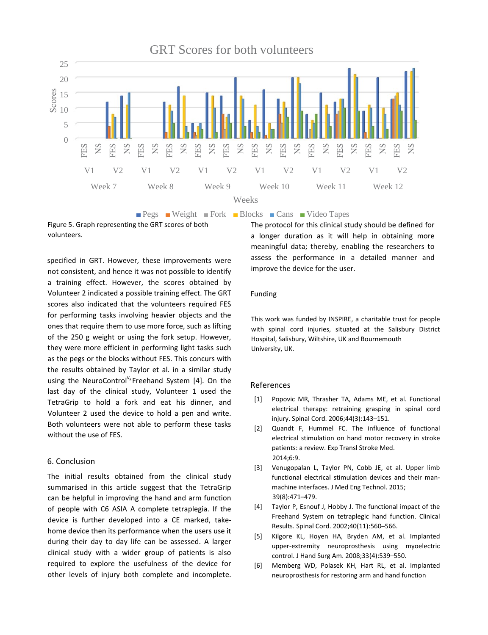

**Pegs** Weight Fork Blocks Cans Video Tapes

Figure 5. Graph representing the GRT scores of both volunteers.

specified in GRT. However, these improvements were not consistent, and hence it was not possible to identify a training effect. However, the scores obtained by Volunteer 2 indicated a possible training effect. The GRT scores also indicated that the volunteers required FES for performing tasks involving heavier objects and the ones that require them to use more force, such as lifting of the 250 g weight or using the fork setup. However, they were more efficient in performing light tasks such as the pegs or the blocks without FES. This concurs with the results obtained by Taylor et al. in a similar study using the NeuroControl<sup>V<sub>R</sub></sup> Freehand System [4]. On the last day of the clinical study, Volunteer 1 used the TetraGrip to hold a fork and eat his dinner, and Volunteer 2 used the device to hold a pen and write. Both volunteers were not able to perform these tasks without the use of FES.

# 6. Conclusion

The initial results obtained from the clinical study summarised in this article suggest that the TetraGrip can be helpful in improving the hand and arm function of people with C6 ASIA A complete tetraplegia. If the device is further developed into a CE marked, takehome device then its performance when the users use it during their day to day life can be assessed. A larger clinical study with a wider group of patients is also required to explore the usefulness of the device for other levels of injury both complete and incomplete.

The protocol for this clinical study should be defined for a longer duration as it will help in obtaining more meaningful data; thereby, enabling the researchers to assess the performance in a detailed manner and improve the device for the user.

# Funding

This work was funded by INSPIRE, a charitable trust for people with spinal cord injuries, situated at the Salisbury District Hospital, Salisbury, Wiltshire, UK and Bournemouth University, UK.

## References

- [1] Popovic MR, Thrasher TA, Adams ME, et al. Functional electrical therapy: retraining grasping in spinal cord injury. Spinal Cord. 2006;44(3):143–151.
- [2] Quandt F, Hummel FC. The influence of functional electrical stimulation on hand motor recovery in stroke patients: a review. Exp Transl Stroke Med. 2014;6:9.
- [3] Venugopalan L, Taylor PN, Cobb JE, et al. Upper limb functional electrical stimulation devices and their manmachine interfaces. J Med Eng Technol. 2015; 39(8):471–479.
- [4] Taylor P, Esnouf J, Hobby J. The functional impact of the Freehand System on tetraplegic hand function. Clinical Results. Spinal Cord. 2002;40(11):560–566.
- [5] Kilgore KL, Hoyen HA, Bryden AM, et al. Implanted upper-extremity neuroprosthesis using myoelectric control. J Hand Surg Am. 2008;33(4):539–550.
- [6] Memberg WD, Polasek KH, Hart RL, et al. Implanted neuroprosthesis for restoring arm and hand function